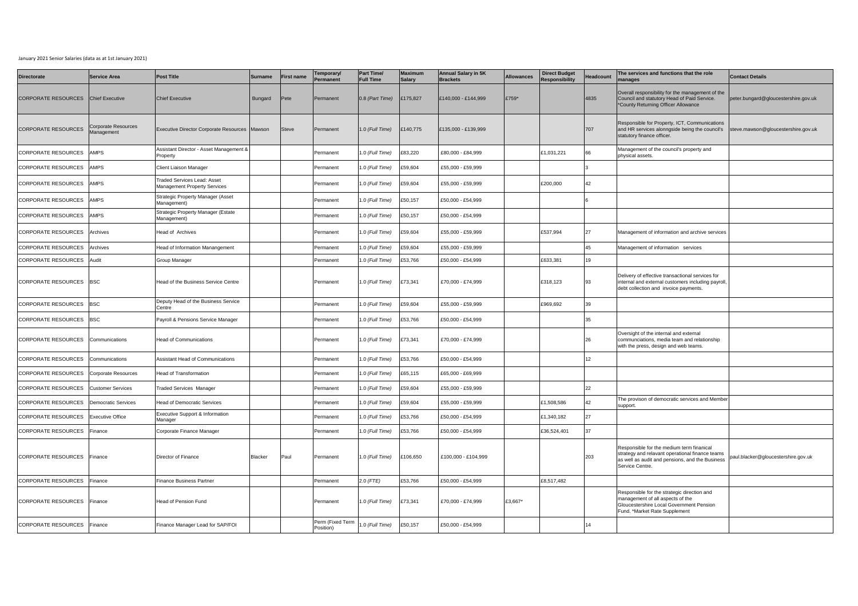## January 2021 Senior Salaries (data as at 1st January 2021)

| <b>Directorate</b>         | <b>Service Area</b>                      | <b>Post Title</b>                                                         | <b>Surname</b> | <b>First name</b> | Temporary/<br>ermanent        | <b>Part Time/</b><br><b>Full Time</b> | <b>Maximum</b><br><b>Salary</b> | <b>Annual Salary in 5K</b><br><b>Brackets</b> | <b>Allowances</b> | <b>Direct Budget</b><br><b>Responsibility</b> | Headcount        | The services and functions that the role<br>nanages                                                                                                                | <b>Contact Details</b>               |
|----------------------------|------------------------------------------|---------------------------------------------------------------------------|----------------|-------------------|-------------------------------|---------------------------------------|---------------------------------|-----------------------------------------------|-------------------|-----------------------------------------------|------------------|--------------------------------------------------------------------------------------------------------------------------------------------------------------------|--------------------------------------|
| <b>CORPORATE RESOURCES</b> | <b>Chief Executive</b>                   | <b>Chief Executive</b>                                                    | Bungard        | Pete              | Permanent                     | 0.8 (Part Time)                       | £175,827                        | £140,000 - £144,999                           | £759*             |                                               | 4835             | Overall responsibility for the management of the<br>Council and statutory Head of Paid Service.<br>*County Returning Officer Allowance                             | peter.bungard@gloucestershire.gov.uk |
| <b>CORPORATE RESOURCES</b> | Corporate Resources<br><b>Aanagement</b> | Executive Director Corporate Resources Mawson                             |                | Steve             | Permanent                     | 1.0 (Full Time)                       | £140,775                        | £135,000 - £139,999                           |                   |                                               | 707              | Responsible for Property, ICT, Communications<br>and HR services alonngside being the council's<br>statutory finance officer.                                      | steve.mawson@gloucestershire.gov.uk  |
| <b>CORPORATE RESOURCES</b> | <b>AMPS</b>                              | Assistant Director - Asset Management &<br>Property                       |                |                   | Permanent                     | .0 (Full Time)                        | £83,220                         | £80,000 - £84,999                             |                   | £1,031,221                                    | 66               | Management of the council's property and<br>physical assets.                                                                                                       |                                      |
| CORPORATE RESOURCES        | <b>AMPS</b>                              | Client Liaison Manager                                                    |                |                   | Permanent                     | .0 (Full Time)                        | £59,604                         | £55,000 - £59,999                             |                   |                                               |                  |                                                                                                                                                                    |                                      |
| <b>CORPORATE RESOURCES</b> | <b>AMPS</b>                              | <b>Traded Services Lead: Asset</b><br><b>Management Property Services</b> |                |                   | Permanent                     | 1.0 (Full Time)                       | £59,604                         | £55,000 - £59,999                             |                   | £200,000                                      | 42               |                                                                                                                                                                    |                                      |
| CORPORATE RESOURCES        | <b>AMPS</b>                              | Strategic Property Manager (Asset<br>Management)                          |                |                   | Permanent                     | .0 (Full Time)                        | £50,157                         | £50.000 - £54.999                             |                   |                                               |                  |                                                                                                                                                                    |                                      |
| CORPORATE RESOURCES        | <b>AMPS</b>                              | Strategic Property Manager (Estate<br>Management)                         |                |                   | Permanent                     | .0 (Full Time)                        | £50,157                         | £50,000 - £54,999                             |                   |                                               |                  |                                                                                                                                                                    |                                      |
| <b>CORPORATE RESOURCES</b> | Archives                                 | Head of Archives                                                          |                |                   | Permanent                     | .0 (Full Time)                        | 159,604                         | £55,000 - £59,999                             |                   | £537,994                                      | 27               | Management of information and archive services                                                                                                                     |                                      |
| <b>CORPORATE RESOURCES</b> | Archives                                 | lead of Information Manangement                                           |                |                   | ermanent                      | .0 (Full Time)                        | £59,604                         | £55,000 - £59,999                             |                   |                                               | 45               | Management of information services                                                                                                                                 |                                      |
| <b>CORPORATE RESOURCES</b> | Audit                                    | Group Manager                                                             |                |                   | Permanent                     | .0 (Full Time)                        | £53,766                         | £50,000 - £54,999                             |                   | £633,381                                      | 19               |                                                                                                                                                                    |                                      |
| CORPORATE RESOURCES        | <b>BSC</b>                               | Head of the Business Service Centre                                       |                |                   | Permanent                     | .0 (Full Time)                        | £73,341                         | £70,000 - £74,999                             |                   | £318,123                                      | 93               | Delivery of effective transactional services for<br>internal and external customers including payroll,<br>debt collection and invoice payments.                    |                                      |
| CORPORATE RESOURCES        | <b>BSC</b>                               | Deputy Head of the Business Service<br>Centre                             |                |                   | Permanent                     | .0 (Full Time)                        | £59,604                         | £55,000 - £59,999                             |                   | £969,692                                      | 39               |                                                                                                                                                                    |                                      |
| CORPORATE RESOURCES        | <b>BSC</b>                               | Payroll & Pensions Service Manager                                        |                |                   | Permanent                     | .0 (Full Time)                        | £53,766                         | £50,000 - £54,999                             |                   |                                               | 35               |                                                                                                                                                                    |                                      |
| <b>CORPORATE RESOURCES</b> | Communications                           | <b>Head of Communications</b>                                             |                |                   | Permanent                     | .0 (Full Time)                        | £73,341                         | £70,000 - £74,999                             |                   |                                               | 26               | Oversight of the internal and external<br>communciations, media team and relationship<br>with the press, design and web teams.                                     |                                      |
| <b>CORPORATE RESOURCES</b> | Communications                           | Assistant Head of Communications                                          |                |                   | Permanent                     | .0 (Full Time)                        | £53,766                         | £50,000 - £54,999                             |                   |                                               | 12 <sup>12</sup> |                                                                                                                                                                    |                                      |
| <b>CORPORATE RESOURCES</b> | Corporate Resources                      | <b>Head of Transformation</b>                                             |                |                   | Permanent                     | .0 (Full Time)                        | £65,115                         | £65,000 - £69,999                             |                   |                                               |                  |                                                                                                                                                                    |                                      |
| <b>CORPORATE RESOURCES</b> | <b>Customer Services</b>                 | <b>Traded Services Manager</b>                                            |                |                   | Permanent                     | .0 (Full Time)                        | £59,604                         | £55,000 - £59,999                             |                   |                                               | 22               |                                                                                                                                                                    |                                      |
| <b>CORPORATE RESOURCES</b> | <b>Democratic Services</b>               | lead of Democratic Services                                               |                |                   | Permanent                     | .0 (Full Time)                        | £59,604                         | £55,000 - £59,999                             |                   | £1,508,586                                    | 42               | The provison of democratic services and Member<br>support.                                                                                                         |                                      |
| CORPORATE RESOURCES        | <b>Executive Office</b>                  | Executive Support & Information<br>Manager                                |                |                   | Permanent                     | .0 (Full Time)                        | 253,766                         | £50,000 - £54,999                             |                   | £1,340,182                                    | 27               |                                                                                                                                                                    |                                      |
| <b>CORPORATE RESOURCES</b> | Finance                                  | Corporate Finance Manager                                                 |                |                   | Permanent                     | .0 (Full Time)                        | £53,766                         | £50,000 - £54,999                             |                   | £36,524,401                                   | 37               |                                                                                                                                                                    |                                      |
| CORPORATE RESOURCES        | Finance                                  | Director of Finance                                                       | Blacker        | Paul              | Permanent                     | .0 (Full Time)                        | £106,650                        | £100,000 - £104,999                           |                   |                                               | 203              | Responsible for the medium term finanical<br>strategy and relavant operational finance teams<br>as well as audit and pensions, and the Business<br>Service Centre. | paul.blacker@gloucestershire.gov.uk  |
| <b>CORPORATE RESOURCES</b> | Finance                                  | Finance Business Partner                                                  |                |                   | Permanent                     | $2.0$ (FTE)                           | £53,766                         | £50,000 - £54,999                             |                   | £8,517,482                                    |                  |                                                                                                                                                                    |                                      |
| <b>CORPORATE RESOURCES</b> | Finance                                  | Head of Pension Fund                                                      |                |                   | Permanent                     | 1.0 (Full Time)                       | £73,341                         | £70,000 - £74,999                             | £3,667*           |                                               |                  | Responsible for the strategic direction and<br>management of all aspects of the<br>Gloucestershire Local Government Pension<br>Fund. *Market Rate Supplement       |                                      |
| CORPORATE RESOURCES        | Finance                                  | Finance Manager Lead for SAP/FOI                                          |                |                   | Perm (Fixed Term<br>Position) | 0. (Full Time)                        | £50,157                         | £50,000 - £54,999                             |                   |                                               | 14               |                                                                                                                                                                    |                                      |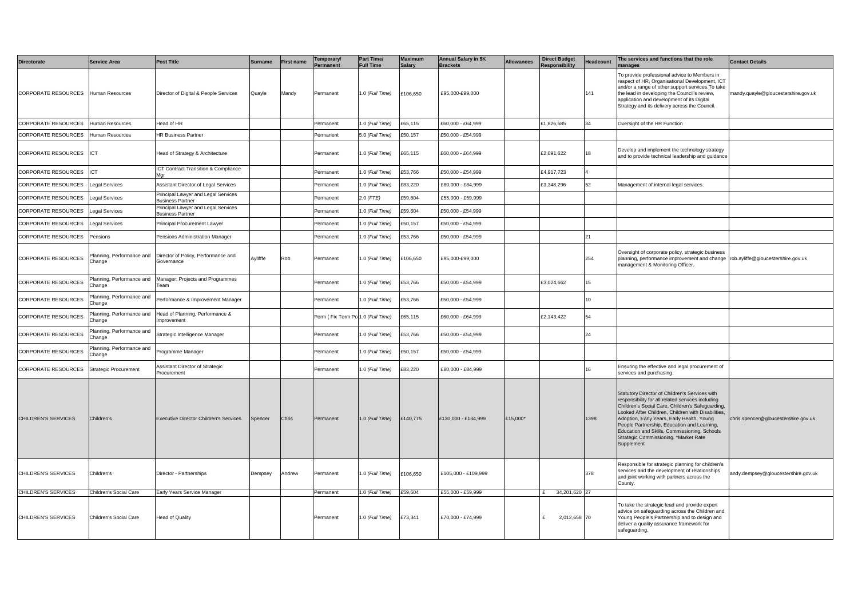| <b>Directorate</b>                  | <b>Service Area</b>                 | Post Title                                                     | <b>Surname</b> | First name | emporary/<br>Permanent            | Part Time/<br><b>Full Time</b> | <b>Maximum</b><br><b>Salary</b> | <b>Annual Salary in 5K</b><br><b>Brackets</b> | <b>Allowances</b> | <b>Direct Budget</b><br><b>Responsibility</b> | Headcount | The services and functions that the role<br>nanages                                                                                                                                                                                                                                                                                                                                                               | <b>Contact Details</b>               |
|-------------------------------------|-------------------------------------|----------------------------------------------------------------|----------------|------------|-----------------------------------|--------------------------------|---------------------------------|-----------------------------------------------|-------------------|-----------------------------------------------|-----------|-------------------------------------------------------------------------------------------------------------------------------------------------------------------------------------------------------------------------------------------------------------------------------------------------------------------------------------------------------------------------------------------------------------------|--------------------------------------|
| CORPORATE RESOURCES Human Resources |                                     | Director of Digital & People Services                          | Quayle         | Mandy      | Permanent                         | 1.0 (Full Time)                | £106,650                        | £95.000-£99.000                               |                   |                                               | 141       | To provide professional advice to Members in<br>respect of HR, Organisational Development, ICT<br>and/or a range of other support services. To take<br>the lead in developing the Council's review,<br>application and development of its Digital<br>Strategy and its delivery across the Council.                                                                                                                | mandy.quayle@gloucestershire.gov.uk  |
| CORPORATE RESOURCES                 | Human Resources                     | Head of HR                                                     |                |            | Permanent                         | 1.0 (Full Time)                | £65,115                         | £60,000 - £64,999                             |                   | £1,826,585                                    | 34        | Oversight of the HR Function                                                                                                                                                                                                                                                                                                                                                                                      |                                      |
| CORPORATE RESOURCES                 | Human Resources                     | <b>HR Business Partner</b>                                     |                |            | Permanent                         | 5.0 (Full Time)                | £50,157                         | £50,000 - £54,999                             |                   |                                               |           |                                                                                                                                                                                                                                                                                                                                                                                                                   |                                      |
| CORPORATE RESOURCES ICT             |                                     | Head of Strategy & Architecture                                |                |            | Permanent                         | .0 (Full Time)                 | £65,115                         | £60,000 - £64,999                             |                   | £2,091,622                                    | 18        | Develop and implement the technology strategy<br>and to provide technical leadership and guidance                                                                                                                                                                                                                                                                                                                 |                                      |
| CORPORATE RESOURCES                 | <b>ICT</b>                          | <b>CT Contract Transition &amp; Compliance</b><br>Mar          |                |            | Permanent                         | .0 (Full Time)                 | £53,766                         | £50,000 - £54,999                             |                   | £4,917,723                                    |           |                                                                                                                                                                                                                                                                                                                                                                                                                   |                                      |
| CORPORATE RESOURCES                 | Legal Services                      | Assistant Director of Legal Services                           |                |            | Permanent                         | .0 (Full Time)                 | £83,220                         | £80,000 - £84,999                             |                   | £3,348,296                                    | 52        | Management of internal legal services.                                                                                                                                                                                                                                                                                                                                                                            |                                      |
| CORPORATE RESOURCES                 | Legal Services                      | Principal Lawyer and Legal Services<br>Business Partner        |                |            | Permanent                         | 2.0 (FTE)                      | £59,604                         | £55,000 - £59,999                             |                   |                                               |           |                                                                                                                                                                                                                                                                                                                                                                                                                   |                                      |
| CORPORATE RESOURCES                 | Legal Services                      | Principal Lawyer and Legal Services<br><b>Business Partner</b> |                |            | Permanent                         | .0 (Full Time)                 | 159,604                         | £50,000 - £54,999                             |                   |                                               |           |                                                                                                                                                                                                                                                                                                                                                                                                                   |                                      |
| CORPORATE RESOURCES                 | <b>Legal Services</b>               | Principal Procurement Lawyer                                   |                |            | Permanent                         | .0 (Full Time)                 | 250,157                         | £50,000 - £54,999                             |                   |                                               |           |                                                                                                                                                                                                                                                                                                                                                                                                                   |                                      |
| CORPORATE RESOURCES                 | Pensions                            | Pensions Administration Manager                                |                |            | Permanent                         | .0 (Full Time)                 | 253,766                         | £50,000 - £54,999                             |                   |                                               | 21        |                                                                                                                                                                                                                                                                                                                                                                                                                   |                                      |
| CORPORATE RESOURCES                 | Planning, Performance and<br>Change | Director of Policy, Performance and<br>Governance              | Avlifffe       | Rob        | Permanent                         | .0 (Full Time)                 | £106,650                        | £95,000-£99,000                               |                   |                                               | 254       | Oversight of corporate policy, strategic business<br>planning, performance improvement and change rob.ayliffe@gloucestershire.gov.uk<br>management & Monitoring Officer.                                                                                                                                                                                                                                          |                                      |
| CORPORATE RESOURCES                 | Planning, Performance and<br>Change | Manager: Projects and Programmes<br>Team                       |                |            | Permanent                         | .0 (Full Time)                 | 253,766                         | £50,000 - £54,999                             |                   | £3,024,662                                    | 15        |                                                                                                                                                                                                                                                                                                                                                                                                                   |                                      |
| CORPORATE RESOURCES                 | Planning, Performance and<br>Change | Performance & Improvement Manager                              |                |            | Permanent                         | .0 (Full Time)                 | £53,766                         | £50,000 - £54,999                             |                   |                                               | 10        |                                                                                                                                                                                                                                                                                                                                                                                                                   |                                      |
| CORPORATE RESOURCES                 | Planning, Performance and<br>Change | Head of Planning, Performance &<br>Improvement                 |                |            | Perm (Fix Term Po 1.0 (Full Time) |                                | £65,115                         | £60,000 - £64,999                             |                   | £2,143,422                                    | 54        |                                                                                                                                                                                                                                                                                                                                                                                                                   |                                      |
| CORPORATE RESOURCES                 | Planning, Performance and<br>Change | Strategic Intelligence Manager                                 |                |            | Permanent                         | .0 (Full Time)                 | £53,766                         | £50,000 - £54,999                             |                   |                                               | 24        |                                                                                                                                                                                                                                                                                                                                                                                                                   |                                      |
| CORPORATE RESOURCES                 | Planning, Performance and<br>Change | Programme Manager                                              |                |            | ermanent                          | .0 (Full Time)                 | £50,157                         | £50,000 - £54,999                             |                   |                                               |           |                                                                                                                                                                                                                                                                                                                                                                                                                   |                                      |
| CORPORATE RESOURCES                 | Strategic Procurement               | Assistant Director of Strategic<br>Procurement                 |                |            | Permanent                         | 1.0 (Full Time)                | 283,220                         | £80,000 - £84,999                             |                   |                                               | 16        | Ensuring the effective and legal procurement of<br>services and purchasing.                                                                                                                                                                                                                                                                                                                                       |                                      |
| <b>CHILDREN'S SERVICES</b>          | Children's                          | <b>Executive Director Children's Services</b>                  | Spencer        | Chris      | Permanent                         | 1.0 (Full Time)                | £140,775                        | £130.000 - £134.999                           | £15.000*          |                                               | 1398      | Statutory Director of Children's Services with<br>responsibility for all related services including<br>Children's Social Care, Children's Safeguarding,<br>Looked After Children, Children with Disabilities.<br>Adoption, Early Years, Early Health, Young<br>People Partnership, Education and Learning,<br>Education and Skills, Commissioning, Schools<br>Strategic Commissioning. *Market Rate<br>Supplement | chris.spencer@gloucestershire.gov.uk |
| CHILDREN'S SERVICES                 | Children's                          | Director - Partnerships                                        | Dempsey        | Andrew     | Permanent                         | 1.0 (Full Time)                | £106,650                        | £105,000 - £109,999                           |                   |                                               | 378       | Responsible for strategic planning for children's<br>services and the development of relationships<br>and joint working with partners across the<br>County.                                                                                                                                                                                                                                                       | andy.dempsey@gloucestershire.gov.uk  |
| CHILDREN'S SERVICES                 | Children's Social Care              | Early Years Service Manager                                    |                |            | Permanent                         | 1.0 (Full Time)                | £59,604                         | £55,000 - £59,999                             |                   | 34,201,620 27<br>$\mathbf{f}$                 |           |                                                                                                                                                                                                                                                                                                                                                                                                                   |                                      |
| CHILDREN'S SERVICES                 | Children's Social Care              | <b>Head of Quality</b>                                         |                |            | Permanent                         | 1.0 (Full Time)                | £73,341                         | £70,000 - £74,999                             |                   | 2,012,658 70<br>$\mathbf{f}$                  |           | To take the strategic lead and provide expert<br>advice on safeguarding across the Children and<br>Young People's Partnership and to design and<br>deliver a quality assurance framework for<br>safeguarding.                                                                                                                                                                                                     |                                      |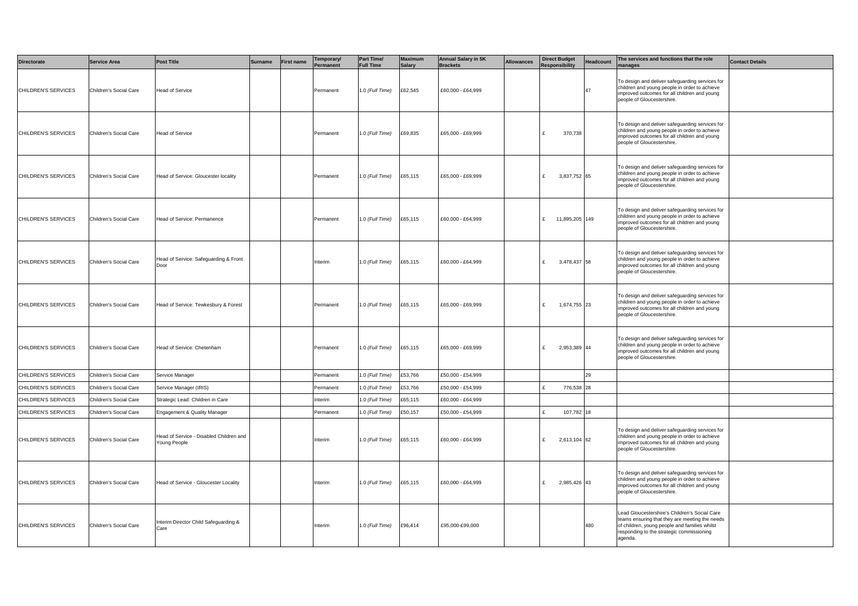| <b>Directorate</b>  | <b>Service Area</b>    | <b>Post Title</b>                                       | <b>Surname</b> | <b>First name</b> | Temporary/<br>Permanent | Part Time/<br><b>Full Time</b> | <b>Maximum</b><br><b>Salary</b> | <b>Annual Salary in 5K</b><br><b>Brackets</b> | <b>Allowances</b> | <b>Direct Budget</b><br><b>Responsibility</b> | <b>Headcount</b> | The services and functions that the role<br>manages                                                                                                                                                      | <b>Contact Details</b> |
|---------------------|------------------------|---------------------------------------------------------|----------------|-------------------|-------------------------|--------------------------------|---------------------------------|-----------------------------------------------|-------------------|-----------------------------------------------|------------------|----------------------------------------------------------------------------------------------------------------------------------------------------------------------------------------------------------|------------------------|
| CHILDREN'S SERVICES | Children's Social Care | Head of Service                                         |                |                   | Permanent               | .0 (Full Time)                 | £62,545                         | £60,000 - £64,999                             |                   |                                               | 47               | To design and deliver safeguarding services for<br>children and young people in order to achieve<br>improved outcomes for all children and young<br>people of Gloucestershire.                           |                        |
| CHILDREN'S SERVICES | Children's Social Care | Head of Service                                         |                |                   | Permanent               | 1.0 (Full Time)                | £69,835                         | £65,000 - £69,999                             |                   | 370,738<br>£                                  |                  | To design and deliver safeguarding services for<br>children and young people in order to achieve<br>improved outcomes for all children and young<br>people of Gloucestershire.                           |                        |
| CHILDREN'S SERVICES | Children's Social Care | Head of Service: Gloucester locality                    |                |                   | Permanent               | .0 (Full Time)                 | £65,115                         | £65,000 - £69,999                             |                   | £ 3,837,752 65                                |                  | To design and deliver safeguarding services for<br>children and young people in order to achieve<br>improved outcomes for all children and young<br>people of Gloucestershire.                           |                        |
| CHILDREN'S SERVICES | Children's Social Care | Head of Service: Permanence                             |                |                   | Permanent               | 1.0 (Full Time)                | £65,115                         | £60,000 - £64,999                             |                   | £ 11,895,205 149                              |                  | To design and deliver safeguarding services for<br>children and young people in order to achieve<br>improved outcomes for all children and young<br>people of Gloucestershire.                           |                        |
| CHILDREN'S SERVICES | Children's Social Care | lead of Service: Safeguarding & Front<br>Door           |                |                   | Interim                 | 1.0 (Full Time)                | £65,115                         | £60,000 - £64,999                             |                   | £ 3,478,437 58                                |                  | To design and deliver safeguarding services for<br>children and young people in order to achieve<br>improved outcomes for all children and young<br>people of Gloucestershire.                           |                        |
| CHILDREN'S SERVICES | Children's Social Care | Head of Service: Tewkesbury & Forest                    |                |                   | Permanent               | 1.0 (Full Time)                | £65,115                         | £65,000 - £69,999                             |                   | 1,674,755 23<br>£                             |                  | To design and deliver safeguarding services for<br>children and young people in order to achieve<br>improved outcomes for all children and young<br>people of Gloucestershire.                           |                        |
| CHILDREN'S SERVICES | Children's Social Care | lead of Service: Chetenham                              |                |                   | Permanent               | 1.0 (Full Time)                | £65,115                         | £65,000 - £69,999                             |                   | £<br>2,953,389 44                             |                  | To design and deliver safeguarding services for<br>children and young people in order to achieve<br>improved outcomes for all children and young<br>people of Gloucestershire.                           |                        |
| CHILDREN'S SERVICES | Children's Social Care | Service Manager                                         |                |                   | Permanent               | .0 (Full Time)                 | £53,766                         | £50,000 - £54,999                             |                   |                                               | 29               |                                                                                                                                                                                                          |                        |
| CHILDREN'S SERVICES | Children's Social Care | Service Manager (IRIS)                                  |                |                   | Permanent               | .0 (Full Time)                 | £53,766                         | £50,000 - £54,999                             |                   | 776,538<br>t.                                 | 28               |                                                                                                                                                                                                          |                        |
| CHILDREN'S SERVICES | Children's Social Care | Strategic Lead: Children in Care                        |                |                   | nterim                  | 1.0 (Full Time)                | £65,115                         | £60,000 - £64,999                             |                   |                                               |                  |                                                                                                                                                                                                          |                        |
| CHILDREN'S SERVICES | Children's Social Care | <b>Engagement &amp; Quality Manager</b>                 |                |                   | Permanent               | .0 (Full Time)                 | £50,157                         | £50,000 - £54,999                             |                   | £<br>107,782 18                               |                  |                                                                                                                                                                                                          |                        |
| CHILDREN'S SERVICES | Children's Social Care | lead of Service - Disabled Children and<br>Young People |                |                   | Interim                 | 0.0 (Full Time)                | £65,115                         | £60,000 - £64,999                             |                   | 2,613,104 62<br>£                             |                  | To design and deliver safeguarding services for<br>children and young people in order to achieve<br>improved outcomes for all children and young<br>people of Gloucestershire.                           |                        |
| CHILDREN'S SERVICES | Children's Social Care | Head of Service - Gloucester Locality                   |                |                   | Interim                 | 1.0 (Full Time)                | £65,115                         | £60,000 - £64,999                             |                   | 2,985,426 43<br>£                             |                  | To design and deliver safeguarding services for<br>children and young people in order to achieve<br>improved outcomes for all children and young<br>people of Gloucestershire.                           |                        |
| CHILDREN'S SERVICES | Children's Social Care | nterim Director Child Safeguarding &<br>are             |                |                   | Interim                 | .0 (Full Time)                 | £96,414                         | £95,000-£99,000                               |                   |                                               | 480              | Lead Gloucestershire's Children's Social Care<br>teams ensuring that they are meeting the needs<br>of children, young people and families whilst<br>responding to the strategic commissioning<br>agenda. |                        |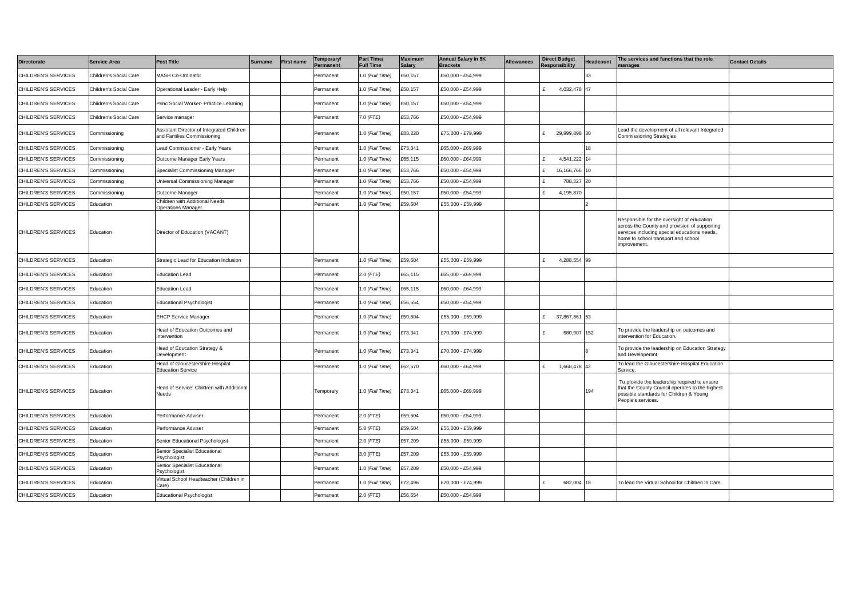| <b>Directorate</b>  | <b>Service Area</b>    | <b>Post Title</b>                                                       | <b>Surname</b> | <b>First name</b> | Temporary/<br>Permanent | <b>Part Time/</b><br>ull Time | <b>Maximum</b><br><b>Salary</b> | <b>Annual Salary in 5K</b><br><b>Brackets</b> | <b>Allowances</b> | <b>Direct Budget</b><br>Responsibility | Headcount | The services and functions that the role<br>anages                                                                                                                                                 | <b>Contact Details</b> |
|---------------------|------------------------|-------------------------------------------------------------------------|----------------|-------------------|-------------------------|-------------------------------|---------------------------------|-----------------------------------------------|-------------------|----------------------------------------|-----------|----------------------------------------------------------------------------------------------------------------------------------------------------------------------------------------------------|------------------------|
| CHILDREN'S SERVICES | Children's Social Care | <b>MASH Co-Ordinator</b>                                                |                |                   | Permanent               | .0 (Full Time)                | £50,157                         | £50,000 - £54,999                             |                   |                                        |           |                                                                                                                                                                                                    |                        |
| CHILDREN'S SERVICES | Children's Social Care | Operational Leader - Early Help                                         |                |                   | Permanent               | 1.0 (Full Time)               | £50,157                         | £50,000 - £54,999                             |                   | 4,032,478 47<br>£                      |           |                                                                                                                                                                                                    |                        |
| CHILDREN'S SERVICES | Children's Social Care | rinc Social Worker- Practice Learning                                   |                |                   | Permanent               | .0 (Full Time)                | £50,157                         | £50,000 - £54,999                             |                   |                                        |           |                                                                                                                                                                                                    |                        |
| CHILDREN'S SERVICES | Children's Social Care | Service manager                                                         |                |                   | Permanent               | $.0$ (FTE)                    | £53,766                         | £50,000 - £54,999                             |                   |                                        |           |                                                                                                                                                                                                    |                        |
| CHILDREN'S SERVICES | Commissioning          | Assistant Director of Integrated Children<br>and Families Commissioning |                |                   | Permanent               | .0 (Full Time)                | £83,220                         | £75,000 - £79,999                             |                   | 29,999,898 30<br>£                     |           | Lead the development of all relevant Integrated<br><b>Commissioning Strategies</b>                                                                                                                 |                        |
| CHILDREN'S SERVICES | Commissioning          | ead Commissioner - Early Years                                          |                |                   | Permanent               | .0 (Full Time)                | £73,341                         | £65,000 - £69,999                             |                   |                                        |           |                                                                                                                                                                                                    |                        |
| CHILDREN'S SERVICES | Commissioning          | Outcome Manager Early Years                                             |                |                   | Permanent               | .0 (Full Time)                | £65,115                         | £60,000 - £64,999                             |                   | 4,541,222 14                           |           |                                                                                                                                                                                                    |                        |
| CHILDREN'S SERVICES | Commissioning          | Specialist Commissioning Manager                                        |                |                   | Permanent               | .0 (Full Time)                | £53,766                         | £50,000 - £54,999                             |                   | 16,166,766 10                          |           |                                                                                                                                                                                                    |                        |
| CHILDREN'S SERVICES | Commissioning          | Jniversal Commissioning Manager                                         |                |                   | Permanent               | 0 (Full Time)                 | £53,766                         | £50,000 - £54,999                             |                   | 788,327 20                             |           |                                                                                                                                                                                                    |                        |
| CHILDREN'S SERVICES | Commissioning          | Outcome Manager                                                         |                |                   | Permanent               | .0 (Full Time)                | £50,157                         | £50,000 - £54,999                             |                   | 4,195,870                              |           |                                                                                                                                                                                                    |                        |
| CHILDREN'S SERVICES | Education              | Children with Additional Needs<br>Operations Manager                    |                |                   | Permanent               | 1.0 (Full Time)               | £59,604                         | £55,000 - £59,999                             |                   |                                        |           |                                                                                                                                                                                                    |                        |
| CHILDREN'S SERVICES | Education              | Director of Education (VACANT)                                          |                |                   |                         |                               |                                 |                                               |                   |                                        |           | Responsible for the oversight of education<br>across the County and provision of supporting<br>services including special educations needs,<br>home to school transport and school<br>improvement. |                        |
| CHILDREN'S SERVICES | Education              | Strategic Lead for Education Inclusion                                  |                |                   | Permanent               | .0 (Full Time)                | £59,604                         | £55,000 - £59,999                             |                   | 4,288,554 99<br>£.                     |           |                                                                                                                                                                                                    |                        |
| CHILDREN'S SERVICES | Education              | <b>Education Lead</b>                                                   |                |                   | Permanent               | $2.0$ (FTE)                   | £65,115                         | £65,000 - £69,999                             |                   |                                        |           |                                                                                                                                                                                                    |                        |
| CHILDREN'S SERVICES | Education              | <b>Education Lead</b>                                                   |                |                   | Permanent               | .0 (Full Time)                | £65,115                         | £60,000 - £64,999                             |                   |                                        |           |                                                                                                                                                                                                    |                        |
| CHILDREN'S SERVICES | Education              | <b>Educational Psychologist</b>                                         |                |                   | Permanent               | .0 (Full Time)                | £56,554                         | £50,000 - £54,999                             |                   |                                        |           |                                                                                                                                                                                                    |                        |
| CHILDREN'S SERVICES | Education              | <b>EHCP Service Manager</b>                                             |                |                   | Permanent               | .0 (Full Time)                | £59,604                         | £55,000 - £59,999                             |                   | 37,867,661 53<br>£                     |           |                                                                                                                                                                                                    |                        |
| CHILDREN'S SERVICES | Education              | lead of Education Outcomes and<br>ntervention                           |                |                   | Permanent               | .0 (Full Time)                | £73,341                         | £70,000 - £74,999                             |                   | £<br>580,907 152                       |           | To provide the leadership on outcomes and<br>intervention for Education.                                                                                                                           |                        |
| CHILDREN'S SERVICES | Education              | lead of Education Strategy &<br>Development                             |                |                   | Permanent               | 1.0 (Full Time)               | £73,341                         | £70,000 - £74,999                             |                   |                                        |           | To provide the leadership on Education Strategy<br>and Developemnt.                                                                                                                                |                        |
| CHILDREN'S SERVICES | Education              | lead of Gloucestershire Hospital<br>ducation Service                    |                |                   | Permanent               | .0 (Full Time)                | £62,570                         | £60,000 - £64,999                             |                   | t.<br>1,668,478 42                     |           | To lead the Gloucestershire Hospital Education<br>Service.                                                                                                                                         |                        |
| CHILDREN'S SERVICES | Education              | Head of Service: Children with Additional<br>Needs                      |                |                   | Temporary               | 1.0 (Full Time)               | £73,341                         | £65,000 - £69,999                             |                   |                                        | 194       | To provide the leadership required to ensure<br>that the County Council operates to the highest<br>possible standards for Children & Young<br>People's services.                                   |                        |
| CHILDREN'S SERVICES | Education              | Performance Adviser                                                     |                |                   | Permanent               | 2.0 (FTE)                     | £59,604                         | £50,000 - £54,999                             |                   |                                        |           |                                                                                                                                                                                                    |                        |
| CHILDREN'S SERVICES | Education              | Performance Adviser                                                     |                |                   | Permanent               | 5.0 (FTE)                     | £59,604                         | £55,000 - £59,999                             |                   |                                        |           |                                                                                                                                                                                                    |                        |
| CHILDREN'S SERVICES | Education              | Senior Educational Psychologist                                         |                |                   | Permanent               | 2.0 (FTE)                     | £57,209                         | £55,000 - £59,999                             |                   |                                        |           |                                                                                                                                                                                                    |                        |
| CHILDREN'S SERVICES | Education              | Senior Specialist Educational<br>'sychologist                           |                |                   | Permanent               | 3.0 (FTE)                     | £57,209                         | £55,000 - £59,999                             |                   |                                        |           |                                                                                                                                                                                                    |                        |
| CHILDREN'S SERVICES | Education              | Senior Specialist Educational<br><sup>2</sup> sychologist               |                |                   | Permanent               | .0 (Full Time)                | £57,209                         | £50,000 - £54,999                             |                   |                                        |           |                                                                                                                                                                                                    |                        |
| CHILDREN'S SERVICES | Education              | /irtual School Headteacher (Children in<br>Care)                        |                |                   | Permanent               | .0 (Full Time)                | £72,496                         | £70,000 - £74,999                             |                   | 682,004 18                             |           | To lead the Virtual School for Children in Care.                                                                                                                                                   |                        |
| CHILDREN'S SERVICES | Education              | ducational Psychologist                                                 |                |                   | Permanent               | 2.0 (FTE)                     | £56,554                         | £50,000 - £54,999                             |                   |                                        |           |                                                                                                                                                                                                    |                        |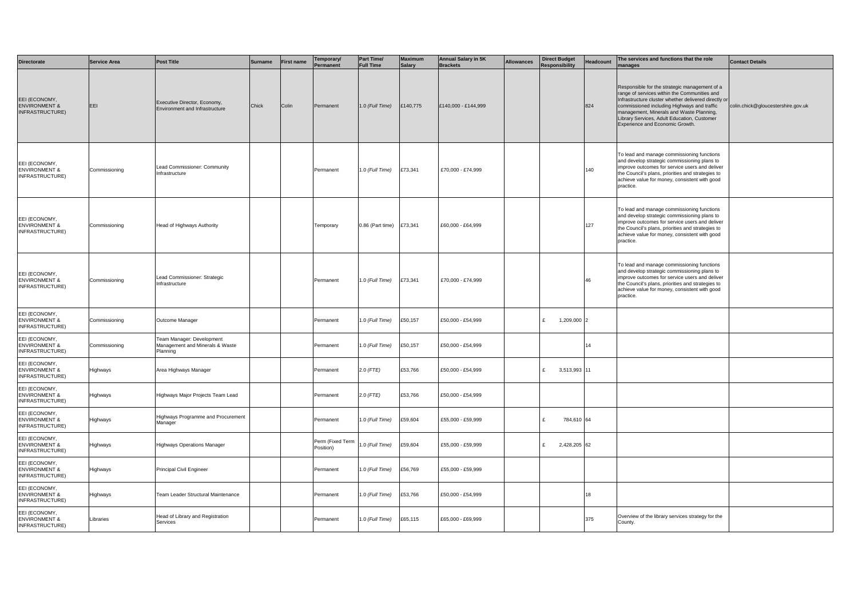| <b>Directorate</b>                                           | <b>Service Area</b> | <b>Post Title</b>                                                        | <b>Surname</b> | First name | 「emporary/<br>Permanent       | <b>Part Time/</b><br><b>Full Time</b> | <b>Maximum</b><br><b>Salary</b> | <b>Annual Salary in 5K</b><br><b>Brackets</b> | <b>Allowances</b> | <b>Direct Budget</b><br><b>Responsibility</b> | Headcount | The services and functions that the role<br>manages                                                                                                                                                                                                                                                                                | <b>Contact Details</b>             |
|--------------------------------------------------------------|---------------------|--------------------------------------------------------------------------|----------------|------------|-------------------------------|---------------------------------------|---------------------------------|-----------------------------------------------|-------------------|-----------------------------------------------|-----------|------------------------------------------------------------------------------------------------------------------------------------------------------------------------------------------------------------------------------------------------------------------------------------------------------------------------------------|------------------------------------|
| EEI (ECONOMY,<br><b>ENVIRONMENT &amp;</b><br>INFRASTRUCTURE) | EEI                 | Executive Director, Economy,<br>Environment and Infrastructure           | Chick          | Colin      | Permanent                     | 1.0 (Full Time)                       | £140,775                        | £140,000 - £144,999                           |                   |                                               | 824       | Responsible for the strategic management of a<br>range of services within the Communities and<br>Infrastructure cluster whether delivered directly or<br>commissioned including Highways and traffic<br>management, Minerals and Waste Planning,<br>Library Services, Adult Education, Customer<br>Experience and Economic Growth. | colin.chick@gloucestershire.gov.uk |
| EEI (ECONOMY,<br><b>ENVIRONMENT &amp;</b><br>INFRASTRUCTURE) | Commissioning       | Lead Commissioner: Community<br>Infrastructure                           |                |            | Permanent                     | 1.0 (Full Time)                       | £73,341                         | £70,000 - £74,999                             |                   |                                               | 140       | To lead and manage commissioning functions<br>and develop strategic commissioning plans to<br>improve outcomes for service users and deliver<br>the Council's plans, priorities and strategies to<br>achieve value for money, consistent with good<br>practice.                                                                    |                                    |
| EEI (ECONOMY,<br><b>ENVIRONMENT &amp;</b><br>INFRASTRUCTURE) | Commissioning       | Head of Highways Authority                                               |                |            | Temporary                     | 0.86 (Part time) £73,341              |                                 | £60,000 - £64,999                             |                   |                                               | 127       | To lead and manage commissioning functions<br>and develop strategic commissioning plans to<br>improve outcomes for service users and deliver<br>the Council's plans, priorities and strategies to<br>achieve value for money, consistent with good<br>practice.                                                                    |                                    |
| EEI (ECONOMY,<br><b>ENVIRONMENT &amp;</b><br>INFRASTRUCTURE) | Commissioning       | Lead Commissioner: Strategic<br>Infrastructure                           |                |            | Permanent                     | 1.0 (Full Time)                       | £73,341                         | £70,000 - £74,999                             |                   |                                               | 46        | To lead and manage commissioning functions<br>and develop strategic commissioning plans to<br>improve outcomes for service users and deliver<br>the Council's plans, priorities and strategies to<br>achieve value for money, consistent with good<br>practice.                                                                    |                                    |
| EEI (ECONOMY,<br><b>ENVIRONMENT &amp;</b><br>INFRASTRUCTURE) | Commissioning       | Outcome Manager                                                          |                |            | Permanent                     | 1.0 (Full Time)                       | £50,157                         | £50,000 - £54,999                             |                   | 1,209,000 2<br>E                              |           |                                                                                                                                                                                                                                                                                                                                    |                                    |
| EEI (ECONOMY,<br><b>ENVIRONMENT &amp;</b><br>INFRASTRUCTURE) | Commissioning       | Team Manager: Development<br>Management and Minerals & Waste<br>Planning |                |            | Permanent                     | 1.0 (Full Time)                       | £50,157                         | £50,000 - £54,999                             |                   |                                               | 14        |                                                                                                                                                                                                                                                                                                                                    |                                    |
| EEI (ECONOMY,<br><b>ENVIRONMENT &amp;</b><br>INFRASTRUCTURE) | Highways            | Area Highways Manager                                                    |                |            | Permanent                     | 2.0 (FTE)                             | £53,766                         | £50,000 - £54,999                             |                   | £ 3,513,993 11                                |           |                                                                                                                                                                                                                                                                                                                                    |                                    |
| EEI (ECONOMY,<br><b>ENVIRONMENT &amp;</b><br>INFRASTRUCTURE) | Highways            | Highways Major Projects Team Lead                                        |                |            | Permanent                     | $2.0$ (FTE)                           | £53,766                         | £50,000 - £54,999                             |                   |                                               |           |                                                                                                                                                                                                                                                                                                                                    |                                    |
| EEI (ECONOMY,<br><b>ENVIRONMENT &amp;</b><br>INFRASTRUCTURE) | Highways            | Highways Programme and Procurement<br>Manager                            |                |            | Permanent                     | 1.0 (Full Time)                       | £59,604                         | £55,000 - £59,999                             |                   | £<br>784,610 64                               |           |                                                                                                                                                                                                                                                                                                                                    |                                    |
| EEI (ECONOMY,<br><b>ENVIRONMENT &amp;</b><br>INFRASTRUCTURE) | Highways            | Highways Operations Manager                                              |                |            | Perm (Fixed Term<br>Position) | 1.0 (Full Time)                       | £59,604                         | £55,000 - £59,999                             |                   | 2,428,205 62<br>£                             |           |                                                                                                                                                                                                                                                                                                                                    |                                    |
| EEI (ECONOMY.<br><b>ENVIRONMENT &amp;</b><br>INFRASTRUCTURE) | Highways            | Principal Civil Engineer                                                 |                |            | Permanent                     | 1.0 (Full Time)                       | £56,769                         | £55,000 - £59,999                             |                   |                                               |           |                                                                                                                                                                                                                                                                                                                                    |                                    |
| EEI (ECONOMY,<br><b>ENVIRONMENT &amp;</b><br>INFRASTRUCTURE) | Highways            | Team Leader Structural Maintenance                                       |                |            | Permanent                     | 1.0 (Full Time)                       | £53,766                         | £50,000 - £54,999                             |                   |                                               | 18        |                                                                                                                                                                                                                                                                                                                                    |                                    |
| EEI (ECONOMY,<br><b>ENVIRONMENT &amp;</b><br>INFRASTRUCTURE) | Libraries           | Head of Library and Registration<br>Services                             |                |            | Permanent                     | 1.0 (Full Time)                       | £65,115                         | £65,000 - £69,999                             |                   |                                               | 375       | Overview of the library services strategy for the<br>County.                                                                                                                                                                                                                                                                       |                                    |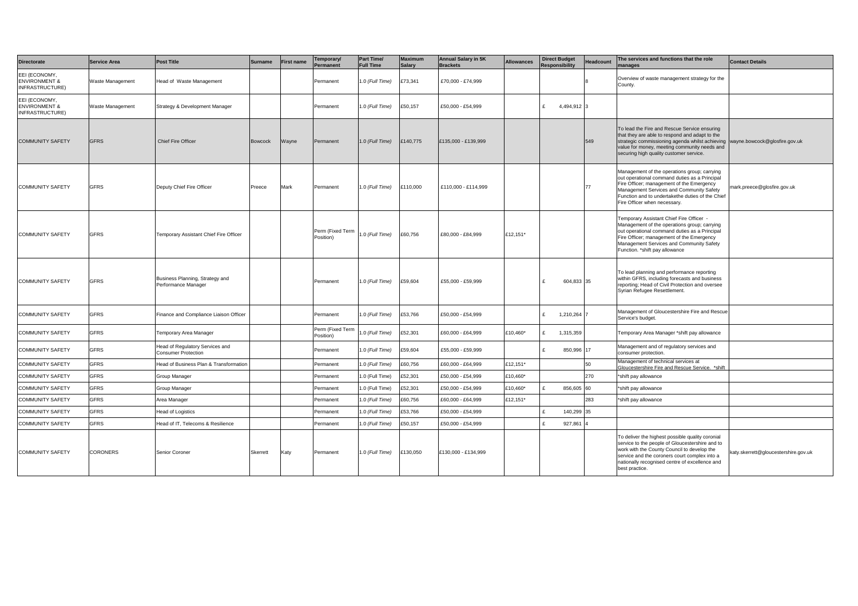| <b>Directorate</b>                                           | <b>Service Area</b> | <b>Post Title</b>                                      | <b>Surname</b> | First name | Temporary/<br>ermanent                        | Part Time/<br><b>Full Time</b> | <b>Maximum</b><br><b>Salary</b> | <b>Annual Salary in 5K</b><br><b>Brackets</b> | <b>Allowances</b> | <b>Direct Budget</b><br><b>Responsibility</b> | Headcount | The services and functions that the role<br>manages                                                                                                                                                                                                                        | <b>Contact Details</b>               |
|--------------------------------------------------------------|---------------------|--------------------------------------------------------|----------------|------------|-----------------------------------------------|--------------------------------|---------------------------------|-----------------------------------------------|-------------------|-----------------------------------------------|-----------|----------------------------------------------------------------------------------------------------------------------------------------------------------------------------------------------------------------------------------------------------------------------------|--------------------------------------|
| EEI (ECONOMY.<br><b>ENVIRONMENT &amp;</b><br>INFRASTRUCTURE) | Waste Management    | Head of Waste Management                               |                |            | Permanent                                     | 1.0 (Full Time)                | £73,341                         | £70,000 - £74,999                             |                   |                                               |           | Overview of waste management strategy for the<br>County.                                                                                                                                                                                                                   |                                      |
| EEI (ECONOMY,<br><b>ENVIRONMENT &amp;</b><br>INFRASTRUCTURE) | Waste Management    | Strategy & Development Manager                         |                |            | Permanent                                     | 1.0 (Full Time)                | £50,157                         | £50,000 - £54,999                             |                   | 4,494,912 3<br>$\mathbf{f}$                   |           |                                                                                                                                                                                                                                                                            |                                      |
| <b>COMMUNITY SAFETY</b>                                      | <b>GFRS</b>         | <b>Chief Fire Officer</b>                              | <b>Bowcock</b> | Wayne      | Permanent                                     | 1.0 (Full Time)                | £140,775                        | 135,000 - £139,999                            |                   |                                               | 549       | To lead the Fire and Rescue Service ensuring<br>that they are able to respond and adapt to the<br>strategic commissioning agenda whilst achieving<br>value for money, meeting community needs and<br>securing high quality customer service.                               | wayne.bowcock@glosfire.gov.uk        |
| <b>COMMUNITY SAFETY</b>                                      | <b>GFRS</b>         | Deputy Chief Fire Officer                              | Preece         | Mark       | Permanent                                     | 1.0 (Full Time)                | £110,000                        | £110.000 - £114.999                           |                   |                                               | 77        | Management of the operations group; carrying<br>out operational command duties as a Principal<br>Fire Officer; management of the Emergency<br>Management Services and Community Safety<br>Function and to undertakethe duties of the Chief<br>Fire Officer when necessary. | mark.preece@glosfire.gov.uk          |
| <b>COMMUNITY SAFETY</b>                                      | <b>GFRS</b>         | Temporary Assistant Chief Fire Officer                 |                |            | Perm (Fixed Term 1.0 (Full Time)<br>Position) |                                | £60,756                         | £80,000 - £84,999                             | £12,151*          |                                               |           | Femporary Assistant Chief Fire Officer -<br>Management of the operations group; carrying<br>out operational command duties as a Principal<br>Fire Officer; management of the Emergency<br>Management Services and Community Safety<br>Function. *shift pay allowance       |                                      |
| <b>COMMUNITY SAFETY</b>                                      | <b>GFRS</b>         | Business Planning, Strategy and<br>Performance Manager |                |            | Permanent                                     | 1.0 (Full Time)                | £59,604                         | £55,000 - £59,999                             |                   | 604,833 35<br>$\mathbf{f}$                    |           | To lead planning and performance reporting<br>within GFRS, including forecasts and business<br>reporting; Head of Civil Protection and oversee<br>Syrian Refugee Resettlement.                                                                                             |                                      |
| <b>COMMUNITY SAFETY</b>                                      | <b>GFRS</b>         | Finance and Compliance Liaison Officer                 |                |            | Permanent                                     | .0 (Full Time)                 | £53,766                         | £50,000 - £54,999                             |                   | 1,210,264<br>£                                |           | Management of Gloucestershire Fire and Rescue<br>Service's budget.                                                                                                                                                                                                         |                                      |
| <b>COMMUNITY SAFETY</b>                                      | <b>GFRS</b>         | emporary Area Manager                                  |                |            | Perm (Fixed Term<br>Position)                 | 0. (Full Time)                 | £52,301                         | £60,000 - £64,999                             | £10,460*          | 1,315,359<br>$\mathbf{f}$                     |           | Temporary Area Manager *shift pay allowance                                                                                                                                                                                                                                |                                      |
| <b>COMMUNITY SAFETY</b>                                      | <b>GFRS</b>         | Head of Regulatory Services and<br>Consumer Protection |                |            | Permanent                                     | 1.0 (Full Time)                | £59,604                         | £55,000 - £59,999                             |                   | l £<br>850,996 17                             |           | Management and of regulatory services and<br>consumer protection.                                                                                                                                                                                                          |                                      |
| <b>COMMUNITY SAFETY</b>                                      | <b>GFRS</b>         | Head of Business Plan & Transformation                 |                |            | ermanent                                      | .0 (Full Time)                 | £60,756                         | £60,000 - £64,999                             | £12,151*          |                                               | 50        | Management of technical services at<br>Gloucestershire Fire and Rescue Service. *shift                                                                                                                                                                                     |                                      |
| <b>COMMUNITY SAFETY</b>                                      | <b>GFRS</b>         | Group Manager                                          |                |            | ermanent                                      | .0 (Full Time)                 | £52,301                         | £50,000 - £54,999                             | £10,460*          |                                               | 270       | *shift pay allowance                                                                                                                                                                                                                                                       |                                      |
| <b>COMMUNITY SAFETY</b>                                      | <b>GFRS</b>         | Group Manager                                          |                |            | Permanent                                     | .0 (Full Time)                 | £52,301                         | £50,000 - £54,999                             | £10.460*          | 856,605 60                                    |           | *shift pay allowance                                                                                                                                                                                                                                                       |                                      |
| COMMUNITY SAFETY                                             | <b>GFRS</b>         | Area Manager                                           |                |            | Permanent                                     | .0 (Full Time)                 | £60,756                         | £60.000 - £64.999                             | £12,151*          |                                               | 283       | *shift pay allowance                                                                                                                                                                                                                                                       |                                      |
| COMMUNITY SAFETY                                             | <b>GFRS</b>         | Head of Logistics                                      |                |            | Permanent                                     | .0 (Full Time)                 | £53,766                         | £50,000 - £54,999                             |                   | 140,299 35                                    |           |                                                                                                                                                                                                                                                                            |                                      |
| <b>COMMUNITY SAFETY</b>                                      | <b>GFRS</b>         | Head of IT, Telecoms & Resilience                      |                |            | Permanent                                     | .0 (Full Time)                 | £50,157                         | £50,000 - £54,999                             |                   | 927,861                                       |           |                                                                                                                                                                                                                                                                            |                                      |
| <b>COMMUNITY SAFETY</b>                                      | <b>CORONERS</b>     | Senior Coroner                                         | Skerrett       | Katy       | Permanent                                     | 1.0 (Full Time)                | £130,050                        | £130,000 - £134,999                           |                   |                                               |           | To deliver the highest possible quality coronial<br>service to the people of Gloucestershire and to<br>work with the County Council to develop the<br>service and the coroners court complex into a<br>nationally recognised centre of excellence and<br>best practice.    | katy.skerrett@gloucestershire.gov.uk |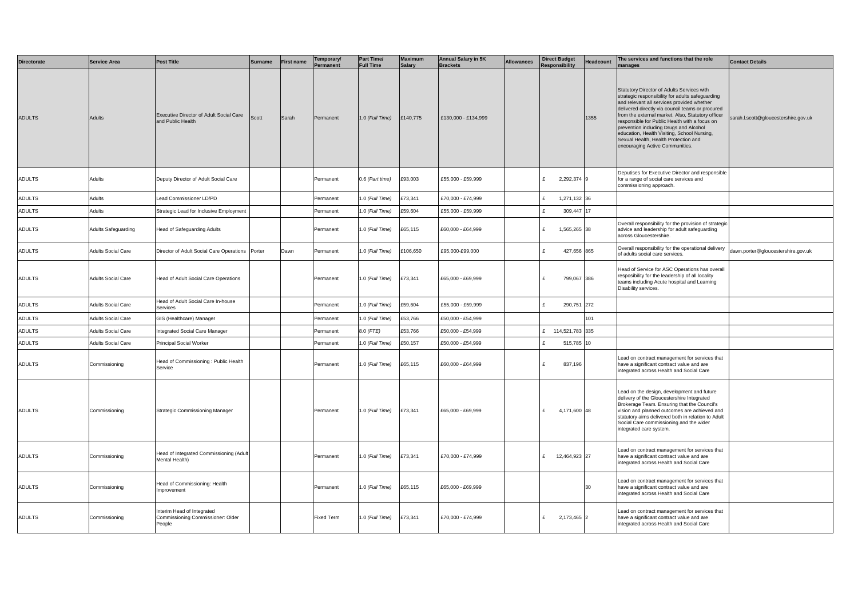| Directorate   | <b>Service Area</b>       | <b>Post Title</b>                                                        | <b>Surname</b> | <b>First name</b> | emporary/<br>Permanent | Part Time/<br><b>Full Time</b> | <b>Maximum</b><br><b>Salary</b> | <b>Annual Salary in 5K</b><br><b>Brackets</b> | <b>Allowances</b> | <b>Direct Budget</b><br><b>Responsibility</b> | <b>Headcount</b> | he services and functions that the role<br>nanages                                                                                                                                                                                                                                                                                                                                                                                                                         | <b>Contact Details</b>              |
|---------------|---------------------------|--------------------------------------------------------------------------|----------------|-------------------|------------------------|--------------------------------|---------------------------------|-----------------------------------------------|-------------------|-----------------------------------------------|------------------|----------------------------------------------------------------------------------------------------------------------------------------------------------------------------------------------------------------------------------------------------------------------------------------------------------------------------------------------------------------------------------------------------------------------------------------------------------------------------|-------------------------------------|
| <b>ADULTS</b> | Adults                    | Executive Director of Adult Social Care<br>and Public Health             | Scott          | Sarah             | Permanent              | 1.0 (Full Time)                | £140,775                        | £130,000 - £134,999                           |                   |                                               | 1355             | Statutory Director of Adults Services with<br>strategic responsibility for adults safeguarding<br>and relevant all services provided whether<br>delivered directly via council teams or procured<br>from the external market. Also, Statutory officer<br>responsible for Public Health with a focus on<br>prevention including Drugs and Alcohol<br>education, Health Visiting, School Nursing,<br>Sexual Health, Health Protection and<br>encouraging Active Communities. | arah.l.scott@gloucestershire.gov.uk |
| <b>ADULTS</b> | Adults                    | Deputy Director of Adult Social Care                                     |                |                   | Permanent              | 0.6 (Part time)                | £93,003                         | £55,000 - £59,999                             |                   | 2,292,374 9<br>E                              |                  | Deputises for Executive Director and responsible<br>for a range of social care services and<br>commissioning approach.                                                                                                                                                                                                                                                                                                                                                     |                                     |
| ADULTS        | Adults                    | ead Commissioner LD/PD                                                   |                |                   | Permanent              | .0 (Full Time)                 | 273,341                         | £70,000 - £74,999                             |                   | E<br>1,271,132                                | 36               |                                                                                                                                                                                                                                                                                                                                                                                                                                                                            |                                     |
| ADULTS        | Adults                    | Strategic Lead for Inclusive Employment                                  |                |                   | ermanent               | .0 (Full Time)                 | :59,604                         | £55,000 - £59,999                             |                   | $\pounds$<br>309,447                          |                  |                                                                                                                                                                                                                                                                                                                                                                                                                                                                            |                                     |
| <b>ADULTS</b> | Adults Safeguarding       | Head of Safeguarding Adults                                              |                |                   | Permanent              | .0 (Full Time)                 | £65,115                         | £60,000 - £64,999                             |                   | £<br>1,565,265 38                             |                  | Overall responsibility for the provision of strategio<br>advice and leadership for adult safeguarding<br>across Gloucestershire.                                                                                                                                                                                                                                                                                                                                           |                                     |
| ADULTS        | <b>Adults Social Care</b> | Director of Adult Social Care Operations Porter                          |                | Dawn              | Permanent              | 1.0 (Full Time)                | £106,650                        | £95.000-£99.000                               |                   | 427,656 865<br>E                              |                  | Overall responsibility for the operational delivery<br>of adults social care services.                                                                                                                                                                                                                                                                                                                                                                                     | dawn.porter@gloucestershire.gov.uk  |
| <b>ADULTS</b> | Adults Social Care        | Head of Adult Social Care Operations                                     |                |                   | Permanent              | 1.0 (Full Time)                | £73,341                         | £65,000 - £69,999                             |                   | 799,067 386<br>l £                            |                  | Head of Service for ASC Operations has overall<br>resposibility for the leadership of all locality<br>teams including Acute hospital and Learning<br>Disability services.                                                                                                                                                                                                                                                                                                  |                                     |
| ADULTS        | Adults Social Care        | Head of Adult Social Care In-house<br>Services                           |                |                   | Permanent              | .0 (Full Time)                 | :59,604                         | £55,000 - £59,999                             |                   | l £<br>290,751 272                            |                  |                                                                                                                                                                                                                                                                                                                                                                                                                                                                            |                                     |
| ADULTS        | Adults Social Care        | GIS (Healthcare) Manager                                                 |                |                   | Permanent              | .0 (Full Time)                 | £53,766                         | £50,000 - £54,999                             |                   |                                               | 101              |                                                                                                                                                                                                                                                                                                                                                                                                                                                                            |                                     |
| ADULTS        | <b>Adults Social Care</b> | ntegrated Social Care Manager                                            |                |                   | ermanent               | 8.0 (FTE)                      | £53,766                         | £50,000 - £54,999                             |                   | £ 114,521,783 335                             |                  |                                                                                                                                                                                                                                                                                                                                                                                                                                                                            |                                     |
| ADULTS        | Adults Social Care        | Principal Social Worker                                                  |                |                   | Permanent              | .0 (Full Time)                 | £50,157                         | £50,000 - £54,999                             |                   | ١£<br>515,785 10                              |                  |                                                                                                                                                                                                                                                                                                                                                                                                                                                                            |                                     |
| ADULTS        | Commissioning             | Head of Commissioning : Public Health<br>Service                         |                |                   | Permanent              | 1.0 (Full Time)                | £65,115                         | £60,000 - £64,999                             |                   | $\mathbf{f}$<br>837,196                       |                  | Lead on contract management for services that<br>have a significant contract value and are<br>integrated across Health and Social Care                                                                                                                                                                                                                                                                                                                                     |                                     |
| <b>ADULTS</b> | Commissioning             | Strategic Commissioning Manager                                          |                |                   | Permanent              | 1.0 (Full Time)                | £73,341                         | £65,000 - £69,999                             |                   | £<br>4,171,600 48                             |                  | Lead on the design, development and future<br>delivery of the Gloucestershire Integrated<br>Brokerage Team. Ensuring that the Council's<br>vision and planned outcomes are achieved and<br>statutory aims delivered both in relation to Adult<br>Social Care commissioning and the wider<br>integrated care system.                                                                                                                                                        |                                     |
| <b>ADULTS</b> | Commissioning             | Head of Integrated Commissioning (Adult<br>Mental Health)                |                |                   | Permanent              | 1.0 (Full Time)                | £73,341                         | £70,000 - £74,999                             |                   | 12,464,923 27<br>E                            |                  | ead on contract management for services that<br>have a significant contract value and are<br>integrated across Health and Social Care                                                                                                                                                                                                                                                                                                                                      |                                     |
| <b>ADULTS</b> | Commissioning             | Head of Commissioning: Health<br>Improvement                             |                |                   | Permanent              | 1.0 (Full Time)                | £65,115                         | £65,000 - £69,999                             |                   |                                               | 30               | Lead on contract management for services that<br>have a significant contract value and are<br>integrated across Health and Social Care                                                                                                                                                                                                                                                                                                                                     |                                     |
| <b>ADULTS</b> | Commissioning             | nterim Head of Integrated<br>Commissioning Commissioner: Older<br>People |                |                   | Fixed Term             | 1.0 (Full Time)                | £73,341                         | £70,000 - £74,999                             |                   | 2,173,465 2<br>E                              |                  | ead on contract management for services that<br>have a significant contract value and are<br>integrated across Health and Social Care                                                                                                                                                                                                                                                                                                                                      |                                     |